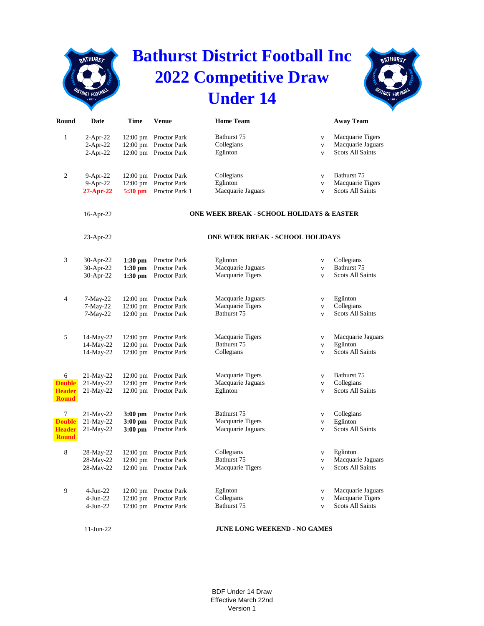## **Bathurst District Football Inc 2022 Competitive Draw Under 14**



| Round                         | Date                     | <b>Time</b>                              | <b>Venue</b>                            | <b>Home Team</b>                          |                              | <b>Away Team</b>                                                 |  |  |  |
|-------------------------------|--------------------------|------------------------------------------|-----------------------------------------|-------------------------------------------|------------------------------|------------------------------------------------------------------|--|--|--|
| 1                             | $2-Apr-22$<br>$2-Apr-22$ | $12:00 \text{ pm}$<br>$12:00 \text{ pm}$ | Proctor Park<br>Proctor Park            | Bathurst 75<br>Collegians<br>Eglinton     | $\mathbf V$<br>$\mathbf{V}$  | Macquarie Tigers<br>Macquarie Jaguars<br><b>Scots All Saints</b> |  |  |  |
|                               | $2-Apr-22$               | $12:00 \text{ pm}$                       | Proctor Park                            |                                           | $\overline{\mathbf{V}}$      |                                                                  |  |  |  |
| 2                             | $9-Apr-22$               | $12:00 \text{ pm}$                       | Proctor Park                            | Collegians                                | $\mathbf{V}$                 | Bathurst 75                                                      |  |  |  |
|                               | 9-Apr-22<br>$27-Apr-22$  | 12:00 pm<br>5:30 pm                      | <b>Proctor Park</b><br>Proctor Park 1   | Eglinton<br>Macquarie Jaguars             | $\mathbf{v}$<br>$\mathbf{V}$ | Macquarie Tigers<br><b>Scots All Saints</b>                      |  |  |  |
|                               |                          |                                          |                                         |                                           |                              |                                                                  |  |  |  |
|                               | 16-Apr-22                |                                          |                                         | ONE WEEK BREAK - SCHOOL HOLIDAYS & EASTER |                              |                                                                  |  |  |  |
|                               | 23-Apr-22                |                                          | <b>ONE WEEK BREAK - SCHOOL HOLIDAYS</b> |                                           |                              |                                                                  |  |  |  |
| 3                             | 30-Apr-22                | $1:30$ pm                                | Proctor Park                            | Eglinton                                  | $\mathbf V$                  | Collegians                                                       |  |  |  |
|                               | 30-Apr-22                | $1:30$ pm                                | Proctor Park                            | Macquarie Jaguars                         | $\mathbf{V}$                 | Bathurst 75                                                      |  |  |  |
|                               | 30-Apr-22                | $1:30$ pm                                | Proctor Park                            | Macquarie Tigers                          | $\mathbf{V}$                 | <b>Scots All Saints</b>                                          |  |  |  |
| 4                             | $7-May-22$               | $12:00 \text{ pm}$                       | Proctor Park                            | Macquarie Jaguars                         | $\mathbf V$                  | Eglinton                                                         |  |  |  |
|                               | $7-May-22$               | $12:00$ pm                               | Proctor Park                            | Macquarie Tigers                          | $\mathbf{V}$                 | Collegians                                                       |  |  |  |
|                               | 7-May-22                 | $12:00 \text{ pm}$                       | Proctor Park                            | Bathurst 75                               | $\mathbf{V}$                 | <b>Scots All Saints</b>                                          |  |  |  |
| 5                             | 14-May-22                | $12:00 \text{ pm}$                       | Proctor Park                            | Macquarie Tigers                          | $\mathbf V$                  | Macquarie Jaguars                                                |  |  |  |
|                               | 14-May-22                | $12:00 \text{ pm}$                       | Proctor Park                            | Bathurst 75                               | $\mathbf{V}$                 | Eglinton                                                         |  |  |  |
|                               | 14-May-22                | $12:00 \text{ pm}$                       | Proctor Park                            | Collegians                                | $\mathbf{V}$                 | Scots All Saints                                                 |  |  |  |
| 6                             | $21-May-22$              | $12:00 \text{ pm}$                       | Proctor Park                            | Macquarie Tigers                          | $\mathbf{V}$                 | Bathurst 75                                                      |  |  |  |
| <b>Double</b>                 | 21-May-22                | $12:00 \text{ pm}$                       | Proctor Park                            | Macquarie Jaguars                         | $\mathbf{V}$                 | Collegians                                                       |  |  |  |
| Header<br><b>Round</b>        | 21-May-22                | $12:00 \text{ pm}$                       | Proctor Park                            | Eglinton                                  | $\mathbf V$                  | <b>Scots All Saints</b>                                          |  |  |  |
| 7                             | 21-May-22                | $3:00$ pm                                | <b>Proctor Park</b>                     | Bathurst 75                               | $\mathbf V$                  | Collegians                                                       |  |  |  |
| <b>Double</b>                 | 21-May-22                | $3:00$ pm                                | Proctor Park                            | Macquarie Tigers                          | $\mathbf{V}$                 | Eglinton                                                         |  |  |  |
| <b>Header</b><br><b>Round</b> | $21-May-22$              | $3:00$ pm                                | Proctor Park                            | Macquarie Jaguars                         | $\mathbf{V}$                 | <b>Scots All Saints</b>                                          |  |  |  |
| 8                             | 28-May-22                | $12:00 \text{ pm}$                       | Proctor Park                            | Collegians                                | $\mathbf V$                  | Eglinton                                                         |  |  |  |
|                               | 28-May-22                | $12:00$ pm                               | Proctor Park                            | Bathurst 75                               | $\mathbf{V}$                 | Macquarie Jaguars                                                |  |  |  |
|                               | 28-May-22                | $12:00 \text{ pm}$                       | Proctor Park                            | Macquarie Tigers                          | $\mathbf{V}$                 | <b>Scots All Saints</b>                                          |  |  |  |
| 9                             | $4-Jun-22$               | $12:00 \text{ pm}$                       | Proctor Park                            | Eglinton                                  | $\mathbf V$                  | Macquarie Jaguars                                                |  |  |  |
|                               | 4-Jun-22                 | $12:00 \text{ pm}$                       | Proctor Park                            | Collegians                                | $\mathbf V$                  | Macquarie Tigers                                                 |  |  |  |
|                               | 4-Jun-22                 | $12:00 \text{ pm}$                       | Proctor Park                            | Bathurst 75                               | $\mathbf{V}$                 | Scots All Saints                                                 |  |  |  |

**BATHURST** 

## **JUNE LONG WEEKEND - NO GAMES**

BDF Under 14 Draw Effective March 22nd Version 1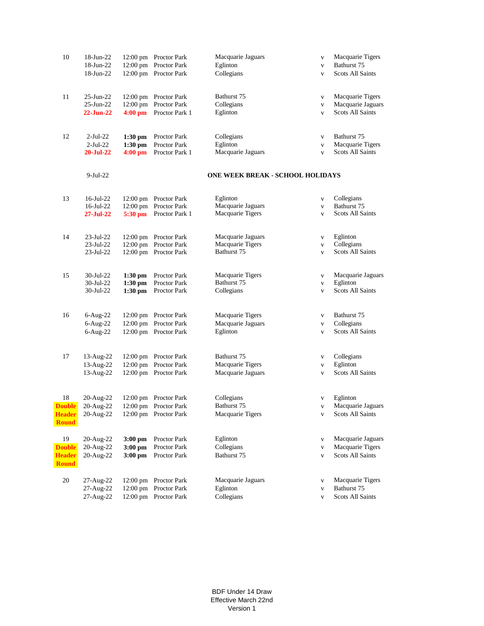| 10                                                   | 18-Jun-22<br>18-Jun-22<br>18-Jun-22           |                                     | 12:00 pm Proctor Park<br>12:00 pm Proctor Park<br>12:00 pm Proctor Park | Macquarie Jaguars<br>Eglinton<br>Collegians          | $\mathbf{V}$<br>$\mathbf{V}$<br>$\mathbf{V}$ | Macquarie Tigers<br>Bathurst 75<br><b>Scots All Saints</b>       |  |
|------------------------------------------------------|-----------------------------------------------|-------------------------------------|-------------------------------------------------------------------------|------------------------------------------------------|----------------------------------------------|------------------------------------------------------------------|--|
| 11                                                   | 25-Jun-22<br>25-Jun-22<br>$22-Jun-22$         | 12:00 pm<br>$4:00$ pm               | 12:00 pm Proctor Park<br>Proctor Park<br>Proctor Park 1                 | Bathurst 75<br>Collegians<br>Eglinton                | $\mathbf{V}$<br>$\mathbf{V}$<br>$\mathbf{V}$ | Macquarie Tigers<br>Macquarie Jaguars<br><b>Scots All Saints</b> |  |
| 12                                                   | $2$ -Jul-22<br>$2-Jul-22$<br><b>20-Jul-22</b> | $1:30$ pm<br>$1:30$ pm<br>$4:00$ pm | <b>Proctor Park</b><br>Proctor Park<br>Proctor Park 1                   | Collegians<br>Eglinton<br>Macquarie Jaguars          | $\mathbf{V}$<br>$\mathbf{V}$<br>$\mathbf{V}$ | Bathurst 75<br>Macquarie Tigers<br><b>Scots All Saints</b>       |  |
|                                                      | $9-Jul-22$                                    |                                     | ONE WEEK BREAK - SCHOOL HOLIDAYS                                        |                                                      |                                              |                                                                  |  |
| 13                                                   | 16-Jul-22<br>16-Jul-22<br>27-Jul-22           | $5:30$ pm                           | 12:00 pm Proctor Park<br>12:00 pm Proctor Park<br>Proctor Park 1        | Eglinton<br>Macquarie Jaguars<br>Macquarie Tigers    | $\mathbf{V}$<br>V<br>$\mathbf{V}$            | Collegians<br>Bathurst 75<br><b>Scots All Saints</b>             |  |
| 14                                                   | $23$ -Jul- $22$<br>23-Jul-22<br>23-Jul-22     |                                     | 12:00 pm Proctor Park<br>12:00 pm Proctor Park<br>12:00 pm Proctor Park | Macquarie Jaguars<br>Macquarie Tigers<br>Bathurst 75 | $\mathbf{V}$<br>$\mathbf{V}$<br>$\mathbf{V}$ | Eglinton<br>Collegians<br><b>Scots All Saints</b>                |  |
| 15                                                   | 30-Jul-22<br>30-Jul-22<br>30-Jul-22           | $1:30$ pm<br>$1:30$ pm<br>$1:30$ pm | Proctor Park<br>Proctor Park<br>Proctor Park                            | Macquarie Tigers<br>Bathurst 75<br>Collegians        | $\mathbf{V}$<br>$\mathbf{V}$<br>$\mathbf{V}$ | Macquarie Jaguars<br>Eglinton<br><b>Scots All Saints</b>         |  |
| 16                                                   | $6$ -Aug-22<br>6-Aug-22<br>6-Aug-22           |                                     | 12:00 pm Proctor Park<br>12:00 pm Proctor Park<br>12:00 pm Proctor Park | Macquarie Tigers<br>Macquarie Jaguars<br>Eglinton    | V<br>$\mathbf{V}$<br>$\mathbf{V}$            | Bathurst 75<br>Collegians<br><b>Scots All Saints</b>             |  |
| 17                                                   | 13-Aug-22<br>13-Aug-22<br>13-Aug-22           |                                     | 12:00 pm Proctor Park<br>12:00 pm Proctor Park<br>12:00 pm Proctor Park | Bathurst 75<br>Macquarie Tigers<br>Macquarie Jaguars | V<br>V<br>$\mathbf{V}$                       | Collegians<br>Eglinton<br><b>Scots All Saints</b>                |  |
| 18<br><b>Double</b><br><b>Header</b><br><b>Round</b> | 20-Aug-22<br>20-Aug-22<br>20-Aug-22           |                                     | 12:00 pm Proctor Park<br>12:00 pm Proctor Park<br>12:00 pm Proctor Park | Collegians<br>Bathurst 75<br>Macquarie Tigers        | V<br>V                                       | Eglinton<br>v Macquarie Jaguars<br>Scots All Saints              |  |
| 19<br><b>Double</b><br><b>Header</b><br><b>Round</b> | 20-Aug-22<br>20-Aug-22<br>20-Aug-22           | $3:00$ pm<br>$3:00$ pm<br>$3:00$ pm | Proctor Park<br>Proctor Park<br>Proctor Park                            | Eglinton<br>Collegians<br>Bathurst 75                | $\mathbf{V}$<br>V<br>$\mathbf{V}$            | Macquarie Jaguars<br>Macquarie Tigers<br>Scots All Saints        |  |
| 20                                                   | 27-Aug-22<br>27-Aug-22<br>27-Aug-22           | $12:00$ pm                          | 12:00 pm Proctor Park<br>Proctor Park<br>12:00 pm Proctor Park          | Macquarie Jaguars<br>Eglinton<br>Collegians          | V<br>$\mathbf{V}$<br>V                       | Macquarie Tigers<br>Bathurst 75<br><b>Scots All Saints</b>       |  |